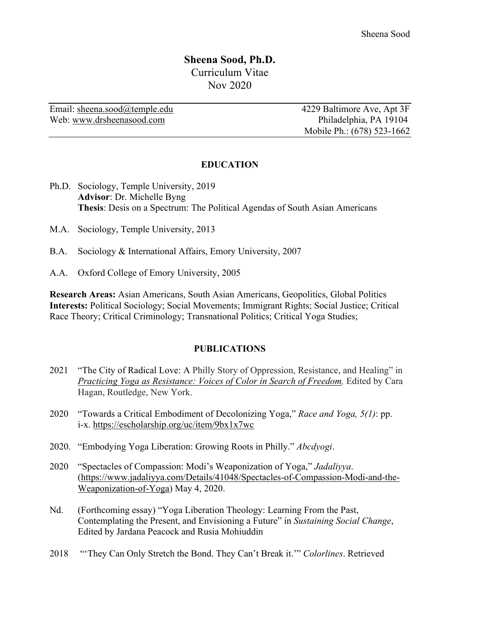# **Sheena Sood, Ph.D.** Curriculum Vitae Nov 2020

Email: sheena.sood@temple.edu 4229 Baltimore Ave, Apt 3F Web: www.drsheenasood.com Philadelphia, PA 19104

Mobile Ph.: (678) 523-1662

#### **EDUCATION**

- Ph.D. Sociology, Temple University, 2019 **Advisor**: Dr. Michelle Byng **Thesis**: Desis on a Spectrum: The Political Agendas of South Asian Americans
- M.A. Sociology, Temple University, 2013
- B.A. Sociology & International Affairs, Emory University, 2007
- A.A. Oxford College of Emory University, 2005

**Research Areas:** Asian Americans, South Asian Americans, Geopolitics, Global Politics **Interests:** Political Sociology; Social Movements; Immigrant Rights; Social Justice; Critical Race Theory; Critical Criminology; Transnational Politics; Critical Yoga Studies;

#### **PUBLICATIONS**

- 2021 "The City of Radical Love: A Philly Story of Oppression, Resistance, and Healing" in *Practicing Yoga as Resistance: Voices of Color in Search of Freedom,* Edited by Cara Hagan, Routledge, New York.
- 2020 "Towards a Critical Embodiment of Decolonizing Yoga," *Race and Yoga, 5(1)*: pp. i-x. https://escholarship.org/uc/item/9bx1x7wc
- 2020. "Embodying Yoga Liberation: Growing Roots in Philly." *Abcdyogi*.
- 2020 "Spectacles of Compassion: Modi's Weaponization of Yoga," *Jadaliyya*. (https://www.jadaliyya.com/Details/41048/Spectacles-of-Compassion-Modi-and-the-Weaponization-of-Yoga) May 4, 2020.
- Nd. (Forthcoming essay) "Yoga Liberation Theology: Learning From the Past, Contemplating the Present, and Envisioning a Future" in *Sustaining Social Change*, Edited by Jardana Peacock and Rusia Mohiuddin
- 2018 "'They Can Only Stretch the Bond. They Can't Break it.'" *Colorlines*. Retrieved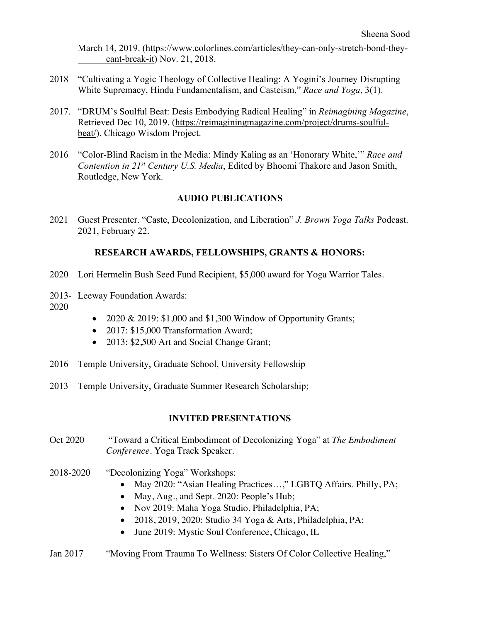March 14, 2019. (https://www.colorlines.com/articles/they-can-only-stretch-bond-theycant-break-it) Nov. 21, 2018.

- 2018 "Cultivating a Yogic Theology of Collective Healing: A Yogini's Journey Disrupting White Supremacy, Hindu Fundamentalism, and Casteism," *Race and Yoga*, 3(1).
- 2017. "DRUM's Soulful Beat: Desis Embodying Radical Healing" in *Reimagining Magazine*, Retrieved Dec 10, 2019. (https://reimaginingmagazine.com/project/drums-soulfulbeat/). Chicago Wisdom Project.
- 2016 "Color-Blind Racism in the Media: Mindy Kaling as an 'Honorary White,'" *Race and Contention in 21st Century U.S. Media*, Edited by Bhoomi Thakore and Jason Smith, Routledge, New York.

## **AUDIO PUBLICATIONS**

2021 Guest Presenter. "Caste, Decolonization, and Liberation" *J. Brown Yoga Talks* Podcast. 2021, February 22.

## **RESEARCH AWARDS, FELLOWSHIPS, GRANTS & HONORS:**

- 2020 Lori Hermelin Bush Seed Fund Recipient, \$5,000 award for Yoga Warrior Tales.
- 2013- Leeway Foundation Awards:
- 2020
- 2020 & 2019: \$1,000 and \$1,300 Window of Opportunity Grants;
- 2017: \$15,000 Transformation Award;
- 2013: \$2,500 Art and Social Change Grant;
- 2016 Temple University, Graduate School, University Fellowship
- 2013 Temple University, Graduate Summer Research Scholarship;

## **INVITED PRESENTATIONS**

- Oct 2020 "Toward a Critical Embodiment of Decolonizing Yoga" at *The Embodiment Conference.* Yoga Track Speaker.
- 2018-2020 "Decolonizing Yoga" Workshops:
	- May 2020: "Asian Healing Practices...," LGBTQ Affairs. Philly, PA;
	- May, Aug., and Sept. 2020: People's Hub;
	- Nov 2019: Maha Yoga Studio, Philadelphia, PA;
	- $\bullet$  2018, 2019, 2020: Studio 34 Yoga & Arts, Philadelphia, PA;
	- June 2019: Mystic Soul Conference, Chicago, IL
- Jan 2017 "Moving From Trauma To Wellness: Sisters Of Color Collective Healing,"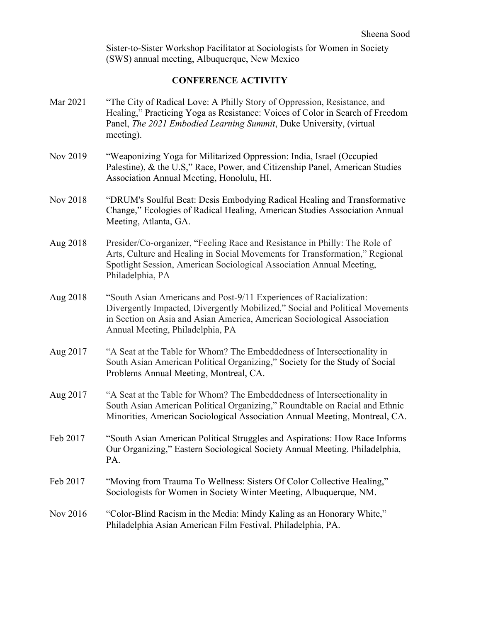Sister-to-Sister Workshop Facilitator at Sociologists for Women in Society (SWS) annual meeting, Albuquerque, New Mexico

# **CONFERENCE ACTIVITY**

| Mar 2021 | "The City of Radical Love: A Philly Story of Oppression, Resistance, and<br>Healing," Practicing Yoga as Resistance: Voices of Color in Search of Freedom<br>Panel, The 2021 Embodied Learning Summit, Duke University, (virtual<br>meeting).                     |
|----------|-------------------------------------------------------------------------------------------------------------------------------------------------------------------------------------------------------------------------------------------------------------------|
| Nov 2019 | "Weaponizing Yoga for Militarized Oppression: India, Israel (Occupied<br>Palestine), & the U.S," Race, Power, and Citizenship Panel, American Studies<br>Association Annual Meeting, Honolulu, HI.                                                                |
| Nov 2018 | "DRUM's Soulful Beat: Desis Embodying Radical Healing and Transformative<br>Change," Ecologies of Radical Healing, American Studies Association Annual<br>Meeting, Atlanta, GA.                                                                                   |
| Aug 2018 | Presider/Co-organizer, "Feeling Race and Resistance in Philly: The Role of<br>Arts, Culture and Healing in Social Movements for Transformation," Regional<br>Spotlight Session, American Sociological Association Annual Meeting,<br>Philadelphia, PA             |
| Aug 2018 | "South Asian Americans and Post-9/11 Experiences of Racialization:<br>Divergently Impacted, Divergently Mobilized," Social and Political Movements<br>in Section on Asia and Asian America, American Sociological Association<br>Annual Meeting, Philadelphia, PA |
| Aug 2017 | "A Seat at the Table for Whom? The Embeddedness of Intersectionality in<br>South Asian American Political Organizing," Society for the Study of Social<br>Problems Annual Meeting, Montreal, CA.                                                                  |
| Aug 2017 | "A Seat at the Table for Whom? The Embeddedness of Intersectionality in<br>South Asian American Political Organizing," Roundtable on Racial and Ethnic<br>Minorities, American Sociological Association Annual Meeting, Montreal, CA.                             |
| Feb 2017 | "South Asian American Political Struggles and Aspirations: How Race Informs<br>Our Organizing," Eastern Sociological Society Annual Meeting. Philadelphia,<br>PA.                                                                                                 |
| Feb 2017 | "Moving from Trauma To Wellness: Sisters Of Color Collective Healing,"<br>Sociologists for Women in Society Winter Meeting, Albuquerque, NM.                                                                                                                      |
| Nov 2016 | "Color-Blind Racism in the Media: Mindy Kaling as an Honorary White,"<br>Philadelphia Asian American Film Festival, Philadelphia, PA.                                                                                                                             |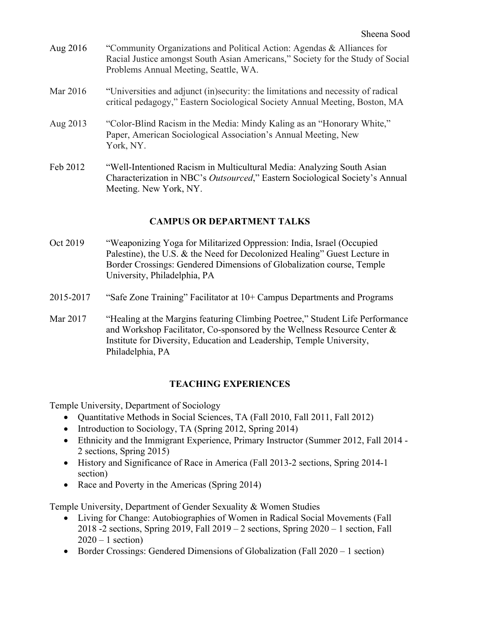| Aug 2016 | "Community Organizations and Political Action: Agendas & Alliances for<br>Racial Justice amongst South Asian Americans," Society for the Study of Social<br>Problems Annual Meeting, Seattle, WA. |
|----------|---------------------------------------------------------------------------------------------------------------------------------------------------------------------------------------------------|
| Mar 2016 | "Universities and adjunct (in)security: the limitations and necessity of radical<br>critical pedagogy," Eastern Sociological Society Annual Meeting, Boston, MA                                   |
| Aug 2013 | "Color-Blind Racism in the Media: Mindy Kaling as an "Honorary White,"<br>Paper, American Sociological Association's Annual Meeting, New<br>York, NY.                                             |
| Feb 2012 | "Well-Intentioned Racism in Multicultural Media: Analyzing South Asian<br>Characterization in NBC's Outsourced," Eastern Sociological Society's Annual<br>Meeting. New York, NY.                  |

## **CAMPUS OR DEPARTMENT TALKS**

- Oct 2019 "Weaponizing Yoga for Militarized Oppression: India, Israel (Occupied Palestine), the U.S. & the Need for Decolonized Healing" Guest Lecture in Border Crossings: Gendered Dimensions of Globalization course, Temple University, Philadelphia, PA
- 2015-2017 "Safe Zone Training" Facilitator at 10+ Campus Departments and Programs
- Mar 2017 "Healing at the Margins featuring Climbing Poetree," Student Life Performance and Workshop Facilitator, Co-sponsored by the Wellness Resource Center & Institute for Diversity, Education and Leadership, Temple University, Philadelphia, PA

## **TEACHING EXPERIENCES**

Temple University, Department of Sociology

- Quantitative Methods in Social Sciences, TA (Fall 2010, Fall 2011, Fall 2012)
- Introduction to Sociology, TA (Spring 2012, Spring 2014)
- Ethnicity and the Immigrant Experience, Primary Instructor (Summer 2012, Fall 2014 2 sections, Spring 2015)
- History and Significance of Race in America (Fall 2013-2 sections, Spring 2014-1 section)
- Race and Poverty in the Americas (Spring 2014)

Temple University, Department of Gender Sexuality & Women Studies

- Living for Change: Autobiographies of Women in Radical Social Movements (Fall 2018 -2 sections, Spring 2019, Fall 2019 – 2 sections, Spring 2020 – 1 section, Fall  $2020 - 1$  section)
- Border Crossings: Gendered Dimensions of Globalization (Fall 2020 1 section)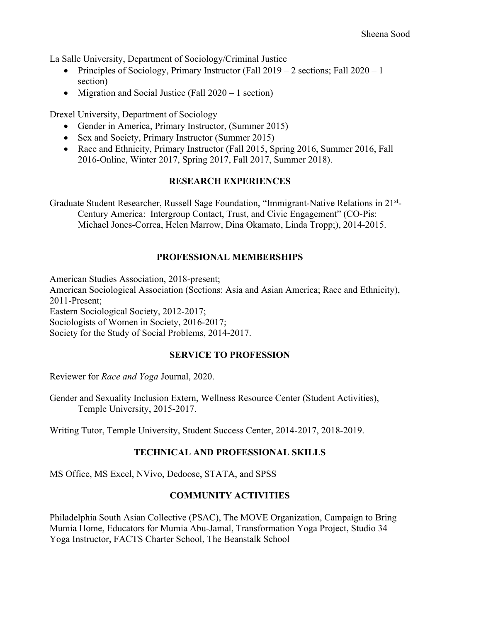La Salle University, Department of Sociology/Criminal Justice

- Principles of Sociology, Primary Instructor (Fall  $2019 2$  sections; Fall  $2020 1$ section)
- Migration and Social Justice (Fall 2020 1 section)

Drexel University, Department of Sociology

- Gender in America, Primary Instructor, (Summer 2015)
- Sex and Society, Primary Instructor (Summer 2015)
- Race and Ethnicity, Primary Instructor (Fall 2015, Spring 2016, Summer 2016, Fall 2016-Online, Winter 2017, Spring 2017, Fall 2017, Summer 2018).

#### **RESEARCH EXPERIENCES**

Graduate Student Researcher, Russell Sage Foundation, "Immigrant-Native Relations in 21<sup>st</sup>-Century America: Intergroup Contact, Trust, and Civic Engagement" (CO-Pis: Michael Jones‐Correa, Helen Marrow, Dina Okamato, Linda Tropp;), 2014-2015.

#### **PROFESSIONAL MEMBERSHIPS**

American Studies Association, 2018-present;

American Sociological Association (Sections: Asia and Asian America; Race and Ethnicity), 2011-Present;

Eastern Sociological Society, 2012-2017;

Sociologists of Women in Society, 2016-2017;

Society for the Study of Social Problems, 2014-2017.

#### **SERVICE TO PROFESSION**

Reviewer for *Race and Yoga* Journal, 2020.

Gender and Sexuality Inclusion Extern, Wellness Resource Center (Student Activities), Temple University, 2015-2017.

Writing Tutor, Temple University, Student Success Center, 2014-2017, 2018-2019.

## **TECHNICAL AND PROFESSIONAL SKILLS**

MS Office, MS Excel, NVivo, Dedoose, STATA, and SPSS

## **COMMUNITY ACTIVITIES**

Philadelphia South Asian Collective (PSAC), The MOVE Organization, Campaign to Bring Mumia Home, Educators for Mumia Abu-Jamal, Transformation Yoga Project, Studio 34 Yoga Instructor, FACTS Charter School, The Beanstalk School